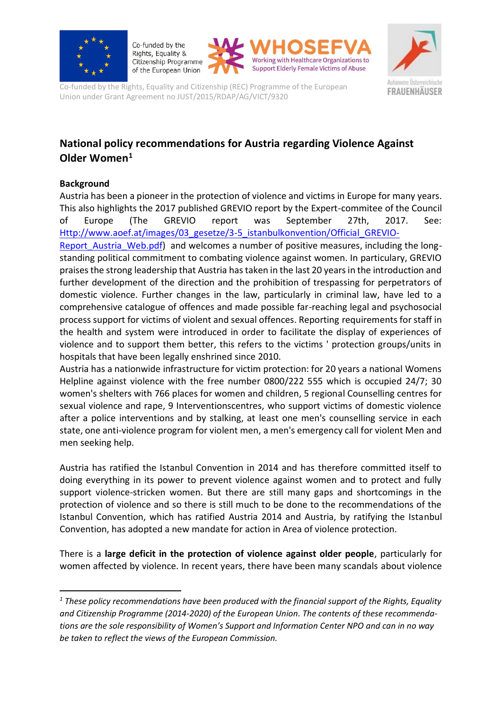

Co-funded by the Rights, Equality & Citizenship Programme of the European Union





Co-funded by the Rights, Equality and Citizenship (REC) Programme of the European Union under Grant Agreement no JUST/2015/RDAP/AG/VICT/9320

# **National policy recommendations for Austria regarding Violence Against Older Women<sup>1</sup>**

## **Background**

**.** 

Austria has been a pioneer in the protection of violence and victims in Europe for many years. This also highlights the 2017 published GREVIO report by the Expert-commitee of the Council of Europe (The GREVIO report was September 27th, 2017. See: [Http://www.aoef.at/images/03\\_gesetze/3-5\\_istanbulkonvention/Official\\_GREVIO-](http://www.aoef.at/images/03_gesetze/3-5_istanbulkonvention/Official_GREVIO-Report_Austria_Web.pdf)

Report Austria Web.pdf) and welcomes a number of positive measures, including the longstanding political commitment to combating violence against women. In particulary, GREVIO praises the strong leadership that Austria has taken in the last 20 years in the introduction and further development of the direction and the prohibition of trespassing for perpetrators of domestic violence. Further changes in the law, particularly in criminal law, have led to a comprehensive catalogue of offences and made possible far-reaching legal and psychosocial process support for victims of violent and sexual offences. Reporting requirements for staff in the health and system were introduced in order to facilitate the display of experiences of violence and to support them better, this refers to the victims ' protection groups/units in hospitals that have been legally enshrined since 2010.

Austria has a nationwide infrastructure for victim protection: for 20 years a national Womens Helpline against violence with the free number 0800/222 555 which is occupied 24/7; 30 women's shelters with 766 places for women and children, 5 regional Counselling centres for sexual violence and rape, 9 Interventionscentres, who support victims of domestic violence after a police interventions and by stalking, at least one men's counselling service in each state, one anti-violence program for violent men, a men's emergency call for violent Men and men seeking help.

Austria has ratified the Istanbul Convention in 2014 and has therefore committed itself to doing everything in its power to prevent violence against women and to protect and fully support violence-stricken women. But there are still many gaps and shortcomings in the protection of violence and so there is still much to be done to the recommendations of the Istanbul Convention, which has ratified Austria 2014 and Austria, by ratifying the Istanbul Convention, has adopted a new mandate for action in Area of violence protection.

There is a **large deficit in the protection of violence against older people**, particularly for women affected by violence. In recent years, there have been many scandals about violence

*<sup>1</sup> These policy recommendations have been produced with the financial support of the Rights, Equality and Citizenship Programme (2014-2020) of the European Union. The contents of these recommendations are the sole responsibility of Women's Support and Information Center NPO and can in no way be taken to reflect the views of the European Commission.*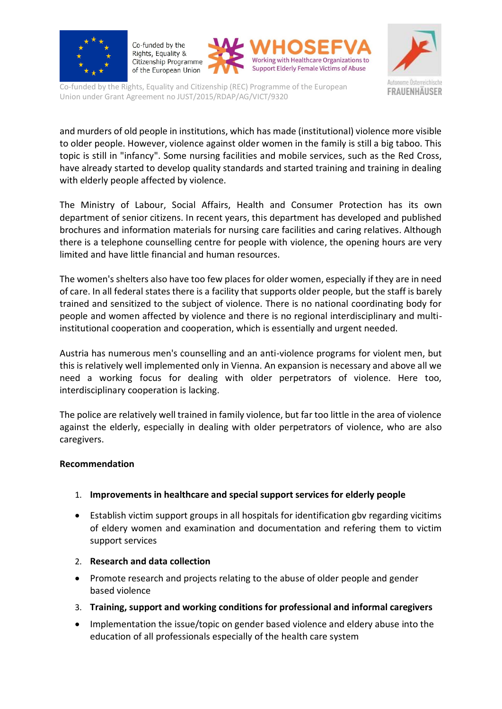

Co-funded by the Rights, Equality & Citizenship Programme of the European Union





Co-funded by the Rights, Equality and Citizenship (REC) Programme of the European Union under Grant Agreement no JUST/2015/RDAP/AG/VICT/9320

and murders of old people in institutions, which has made (institutional) violence more visible to older people. However, violence against older women in the family is still a big taboo. This topic is still in "infancy". Some nursing facilities and mobile services, such as the Red Cross, have already started to develop quality standards and started training and training in dealing with elderly people affected by violence.

The Ministry of Labour, Social Affairs, Health and Consumer Protection has its own department of senior citizens. In recent years, this department has developed and published brochures and information materials for nursing care facilities and caring relatives. Although there is a telephone counselling centre for people with violence, the opening hours are very limited and have little financial and human resources.

The women's shelters also have too few places for older women, especially if they are in need of care. In all federal states there is a facility that supports older people, but the staff is barely trained and sensitized to the subject of violence. There is no national coordinating body for people and women affected by violence and there is no regional interdisciplinary and multiinstitutional cooperation and cooperation, which is essentially and urgent needed.

Austria has numerous men's counselling and an anti-violence programs for violent men, but this is relatively well implemented only in Vienna. An expansion is necessary and above all we need a working focus for dealing with older perpetrators of violence. Here too, interdisciplinary cooperation is lacking.

The police are relatively well trained in family violence, but far too little in the area of violence against the elderly, especially in dealing with older perpetrators of violence, who are also caregivers.

#### **Recommendation**

### 1. **Improvements in healthcare and special support services for elderly people**

- Establish victim support groups in all hospitals for identification gbv regarding vicitims of eldery women and examination and documentation and refering them to victim support services
- 2. **Research and data collection**
- Promote research and projects relating to the abuse of older people and gender based violence
- 3. **Training, support and working conditions for professional and informal caregivers**
- Implementation the issue/topic on gender based violence and eldery abuse into the education of all professionals especially of the health care system